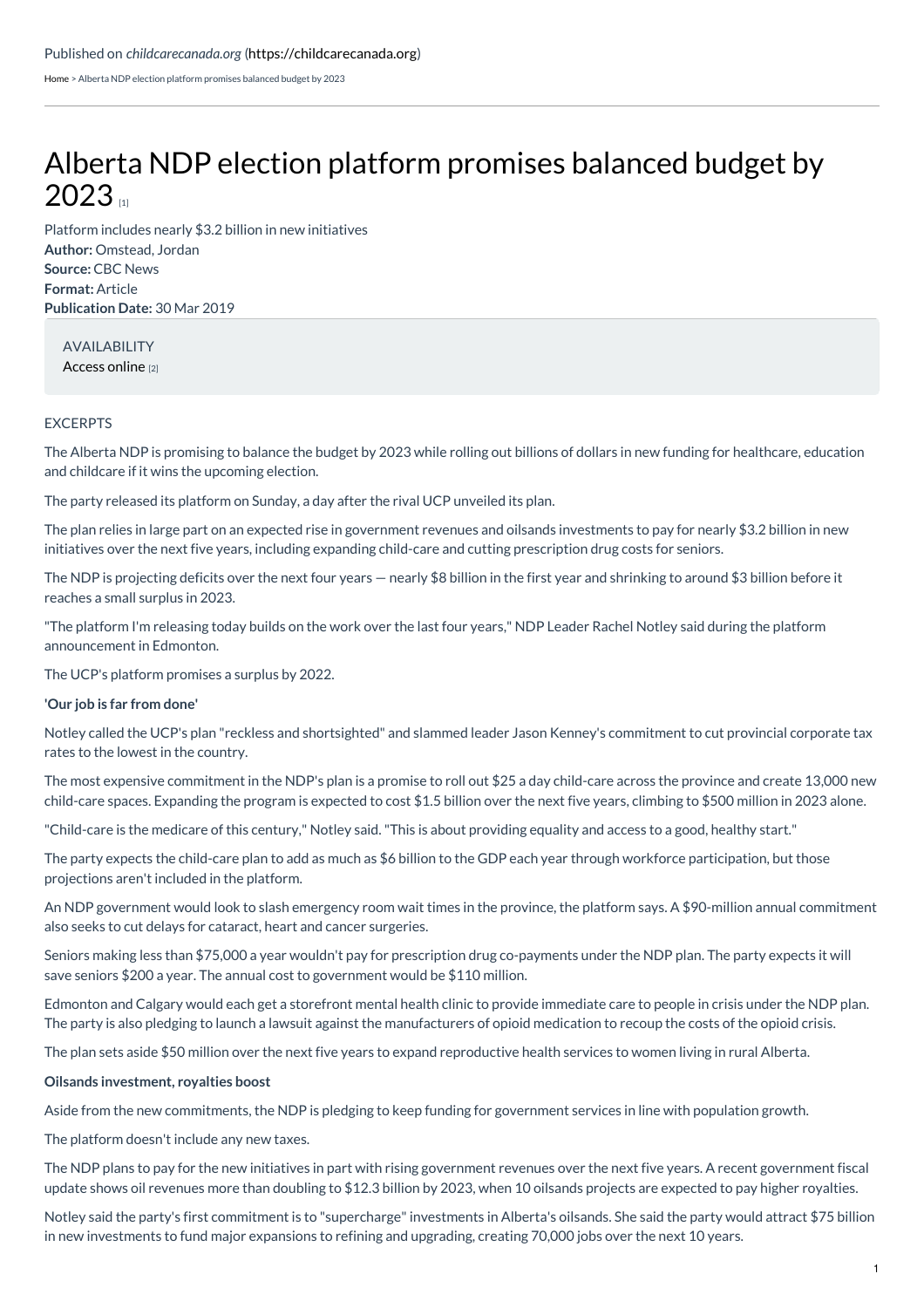[Home](https://childcarecanada.org/) > Alberta NDP election platform promises balanced budget by 2023

## Alberta NDP election platform [promises](https://childcarecanada.org/documents/child-care-news/19/04/alberta-ndp-election-platform-promises-balanced-budget-2023) balanced budget by  $2023$

**Author:** Omstead, Jordan **Source:** CBC News **Format:** Article **Publication Date:** 30 Mar 2019 Platform includes nearly \$3.2 billion in new initiatives

AVAILABILITY [Access](https://www.cbc.ca/news/canada/edmonton/notley-ndp-platform-announcement-1.5078955) online [2]

## EXCERPTS

The Alberta NDP is promising to balance the budget by 2023 while rolling out billions of dollars in new funding for healthcare, education and childcare if it wins the upcoming election.

The party released its platform on Sunday, a day after the rival UCP unveiled its plan.

The plan relies in large part on an expected rise in government revenues and oilsands investments to pay for nearly \$3.2 billion in new initiatives over the next five years, including expanding child-care and cutting prescription drug costs for seniors.

The NDP is projecting deficits over the next four years — nearly \$8 billion in the first year and shrinking to around \$3 billion before it reaches a small surplus in 2023.

"The platform I'm releasing today builds on the work over the last four years," NDP Leader Rachel Notley said during the platform announcement in Edmonton.

The UCP's platform promises a surplus by 2022.

## **'Our job is far from done'**

Notley called the UCP's plan "reckless and shortsighted" and slammed leader Jason Kenney's commitment to cut provincial corporate tax rates to the lowest in the country.

The most expensive commitment in the NDP's plan is a promise to roll out \$25 a day child-care across the province and create 13,000 new child-care spaces. Expanding the program is expected to cost \$1.5 billion over the next five years, climbing to \$500 million in 2023 alone.

"Child-care is the medicare of this century," Notley said."This is about providing equality and access to a good, healthy start."

The party expects the child-care plan to add as much as \$6 billion to the GDP each year through workforce participation, but those projections aren't included in the platform.

An NDP government would look to slash emergency room wait times in the province, the platform says. A \$90-million annual commitment also seeks to cut delays for cataract, heart and cancer surgeries.

Seniors making less than \$75,000 a year wouldn't pay for prescription drug co-payments under the NDP plan. The party expects it will save seniors \$200 a year. The annual cost to government would be \$110 million.

Edmonton and Calgary would each get a storefront mental health clinic to provide immediate care to people in crisis under the NDP plan. The party is also pledging to launch a lawsuit against the manufacturers of opioid medication to recoup the costs of the opioid crisis.

The plan sets aside \$50 million over the next five years to expand reproductive health services to women living in rural Alberta.

## **Oilsands investment, royalties boost**

Aside from the new commitments, the NDP is pledging to keep funding for government services in line with population growth.

The platform doesn't include any new taxes.

The NDP plans to pay for the new initiatives in part with rising government revenues over the next five years. A recent government fiscal update shows oil revenues more than doubling to \$12.3 billion by 2023, when 10 oilsands projects are expected to pay higher royalties.

Notley said the party's first commitment is to "supercharge"investments in Alberta's oilsands. She said the party would attract \$75 billion in new investments to fund major expansions to refining and upgrading, creating 70,000 jobs over the next 10 years.